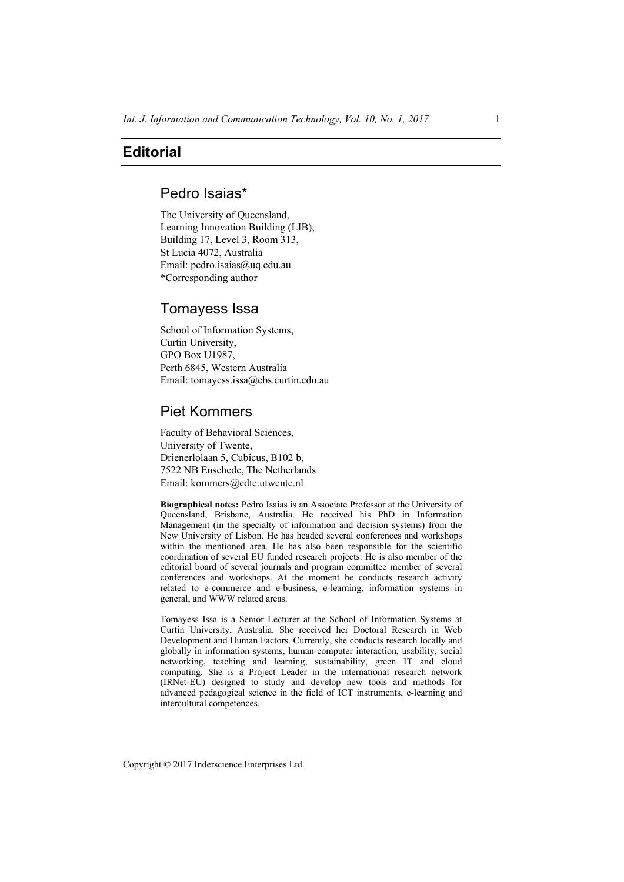## **Editorial**

## Pedro Isaias\*

The University of Queensland, Learning Innovation Building (LIB), Building 17, Level 3, Room 313, St Lucia 4072, Australia Email: pedro.isaias@uq.edu.au \*Corresponding author

### Tomayess Issa

School of Information Systems, Curtin University, GPO Box U1987, Perth 6845, Western Australia Email: tomayess.issa@cbs.curtin.edu.au

# Piet Kommers

Faculty of Behavioral Sciences, University of Twente, Drienerlolaan 5, Cubicus, B102 b, 7522 NB Enschede, The Netherlands Email: kommers@edte.utwente.nl

**Biographical notes:** Pedro Isaias is an Associate Professor at the University of Queensland, Brisbane, Australia. He received his PhD in Information Management (in the specialty of information and decision systems) from the New University of Lisbon. He has headed several conferences and workshops within the mentioned area. He has also been responsible for the scientific coordination of several EU funded research projects. He is also member of the editorial board of several journals and program committee member of several conferences and workshops. At the moment he conducts research activity related to e-commerce and e-business, e-learning, information systems in general, and WWW related areas.

Tomayess Issa is a Senior Lecturer at the School of Information Systems at Curtin University, Australia. She received her Doctoral Research in Web Development and Human Factors. Currently, she conducts research locally and globally in information systems, human-computer interaction, usability, social networking, teaching and learning, sustainability, green IT and cloud computing. She is a Project Leader in the international research network (IRNet-EU) designed to study and develop new tools and methods for advanced pedagogical science in the field of ICT instruments, e-learning and intercultural competences.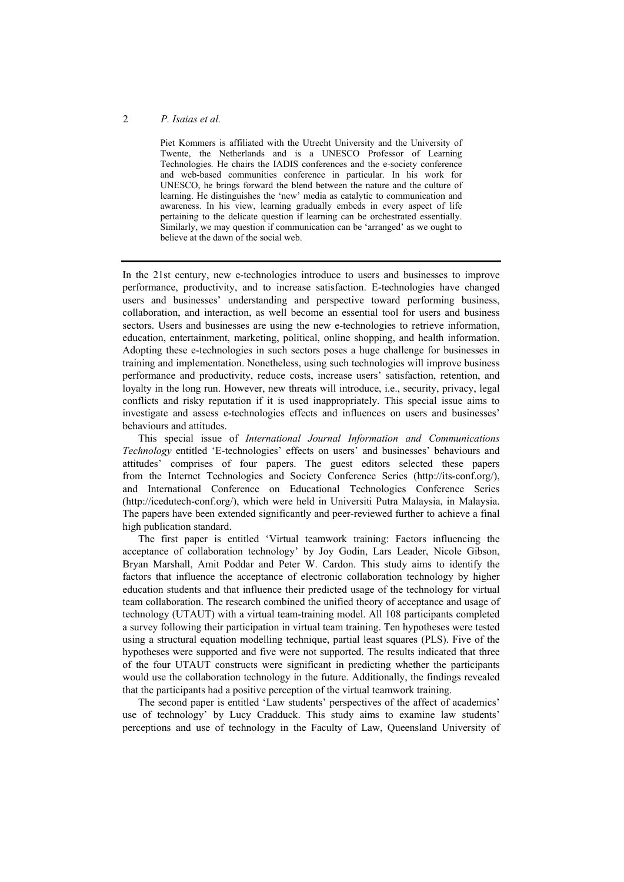#### 2 *P. Isaias et al.*

Piet Kommers is affiliated with the Utrecht University and the University of Twente, the Netherlands and is a UNESCO Professor of Learning Technologies. He chairs the IADIS conferences and the e-society conference and web-based communities conference in particular. In his work for UNESCO, he brings forward the blend between the nature and the culture of learning. He distinguishes the 'new' media as catalytic to communication and awareness. In his view, learning gradually embeds in every aspect of life pertaining to the delicate question if learning can be orchestrated essentially. Similarly, we may question if communication can be 'arranged' as we ought to believe at the dawn of the social web.

In the 21st century, new e-technologies introduce to users and businesses to improve performance, productivity, and to increase satisfaction. E-technologies have changed users and businesses' understanding and perspective toward performing business, collaboration, and interaction, as well become an essential tool for users and business sectors. Users and businesses are using the new e-technologies to retrieve information, education, entertainment, marketing, political, online shopping, and health information. Adopting these e-technologies in such sectors poses a huge challenge for businesses in training and implementation. Nonetheless, using such technologies will improve business performance and productivity, reduce costs, increase users' satisfaction, retention, and loyalty in the long run. However, new threats will introduce, i.e., security, privacy, legal conflicts and risky reputation if it is used inappropriately. This special issue aims to investigate and assess e-technologies effects and influences on users and businesses' behaviours and attitudes.

This special issue of *International Journal Information and Communications Technology* entitled 'E-technologies' effects on users' and businesses' behaviours and attitudes' comprises of four papers. The guest editors selected these papers from the Internet Technologies and Society Conference Series (http://its-conf.org/), and International Conference on Educational Technologies Conference Series (http://icedutech-conf.org/), which were held in Universiti Putra Malaysia, in Malaysia. The papers have been extended significantly and peer-reviewed further to achieve a final high publication standard.

The first paper is entitled 'Virtual teamwork training: Factors influencing the acceptance of collaboration technology' by Joy Godin, Lars Leader, Nicole Gibson, Bryan Marshall, Amit Poddar and Peter W. Cardon. This study aims to identify the factors that influence the acceptance of electronic collaboration technology by higher education students and that influence their predicted usage of the technology for virtual team collaboration. The research combined the unified theory of acceptance and usage of technology (UTAUT) with a virtual team-training model. All 108 participants completed a survey following their participation in virtual team training. Ten hypotheses were tested using a structural equation modelling technique, partial least squares (PLS). Five of the hypotheses were supported and five were not supported. The results indicated that three of the four UTAUT constructs were significant in predicting whether the participants would use the collaboration technology in the future. Additionally, the findings revealed that the participants had a positive perception of the virtual teamwork training.

The second paper is entitled 'Law students' perspectives of the affect of academics' use of technology' by Lucy Cradduck. This study aims to examine law students' perceptions and use of technology in the Faculty of Law, Queensland University of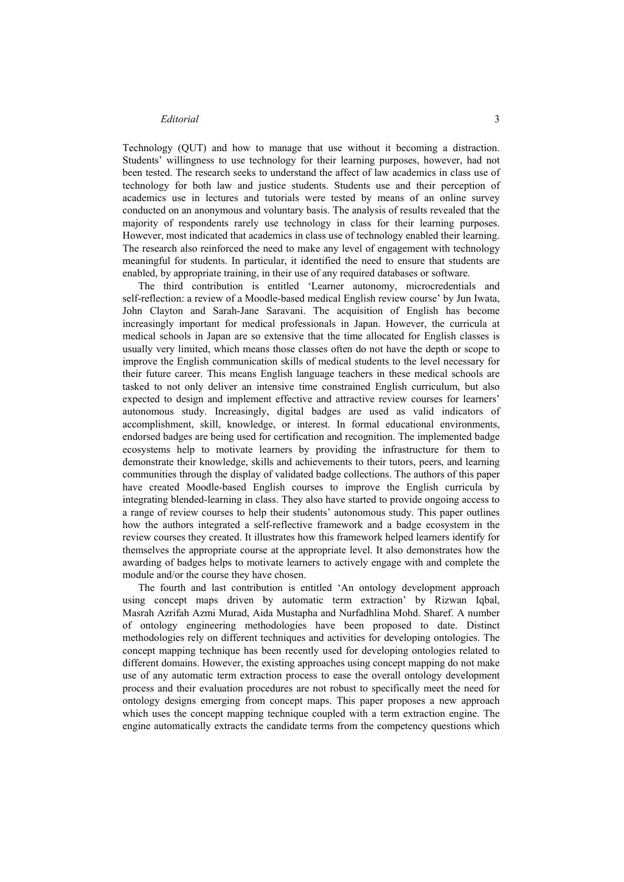#### *Editorial* 3

Technology (QUT) and how to manage that use without it becoming a distraction. Students' willingness to use technology for their learning purposes, however, had not been tested. The research seeks to understand the affect of law academics in class use of technology for both law and justice students. Students use and their perception of academics use in lectures and tutorials were tested by means of an online survey conducted on an anonymous and voluntary basis. The analysis of results revealed that the majority of respondents rarely use technology in class for their learning purposes. However, most indicated that academics in class use of technology enabled their learning. The research also reinforced the need to make any level of engagement with technology meaningful for students. In particular, it identified the need to ensure that students are enabled, by appropriate training, in their use of any required databases or software.

The third contribution is entitled 'Learner autonomy, microcredentials and self-reflection: a review of a Moodle-based medical English review course' by Jun Iwata, John Clayton and Sarah-Jane Saravani. The acquisition of English has become increasingly important for medical professionals in Japan. However, the curricula at medical schools in Japan are so extensive that the time allocated for English classes is usually very limited, which means those classes often do not have the depth or scope to improve the English communication skills of medical students to the level necessary for their future career. This means English language teachers in these medical schools are tasked to not only deliver an intensive time constrained English curriculum, but also expected to design and implement effective and attractive review courses for learners' autonomous study. Increasingly, digital badges are used as valid indicators of accomplishment, skill, knowledge, or interest. In formal educational environments, endorsed badges are being used for certification and recognition. The implemented badge ecosystems help to motivate learners by providing the infrastructure for them to demonstrate their knowledge, skills and achievements to their tutors, peers, and learning communities through the display of validated badge collections. The authors of this paper have created Moodle-based English courses to improve the English curricula by integrating blended-learning in class. They also have started to provide ongoing access to a range of review courses to help their students' autonomous study. This paper outlines how the authors integrated a self-reflective framework and a badge ecosystem in the review courses they created. It illustrates how this framework helped learners identify for themselves the appropriate course at the appropriate level. It also demonstrates how the awarding of badges helps to motivate learners to actively engage with and complete the module and/or the course they have chosen.

The fourth and last contribution is entitled 'An ontology development approach using concept maps driven by automatic term extraction' by Rizwan Iqbal, Masrah Azrifah Azmi Murad, Aida Mustapha and Nurfadhlina Mohd. Sharef. A number of ontology engineering methodologies have been proposed to date. Distinct methodologies rely on different techniques and activities for developing ontologies. The concept mapping technique has been recently used for developing ontologies related to different domains. However, the existing approaches using concept mapping do not make use of any automatic term extraction process to ease the overall ontology development process and their evaluation procedures are not robust to specifically meet the need for ontology designs emerging from concept maps. This paper proposes a new approach which uses the concept mapping technique coupled with a term extraction engine. The engine automatically extracts the candidate terms from the competency questions which